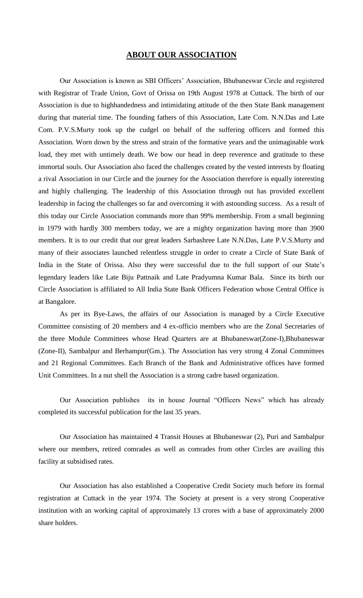## **ABOUT OUR ASSOCIATION**

Our Association is known as SBI Officers' Association, Bhubaneswar Circle and registered with Registrar of Trade Union, Govt of Orissa on 19th August 1978 at Cuttack. The birth of our Association is due to highhandedness and intimidating attitude of the then State Bank management during that material time. The founding fathers of this Association, Late Com. N.N.Das and Late Com. P.V.S.Murty took up the cudgel on behalf of the suffering officers and formed this Association. Worn down by the stress and strain of the formative years and the unimaginable work load, they met with untimely death. We bow our head in deep reverence and gratitude to these immortal souls. Our Association also faced the challenges created by the vested interests by floating a rival Association in our Circle and the journey for the Association therefore is equally interesting and highly challenging. The leadership of this Association through out has provided excellent leadership in facing the challenges so far and overcoming it with astounding success. As a result of this today our Circle Association commands more than 99% membership. From a small beginning in 1979 with hardly 300 members today, we are a mighty organization having more than 3900 members. It is to our credit that our great leaders Sarbashree Late N.N.Das, Late P.V.S.Murty and many of their associates launched relentless struggle in order to create a Circle of State Bank of India in the State of Orissa. Also they were successful due to the full support of our State's legendary leaders like Late Biju Pattnaik and Late Pradyumna Kumar Bala. Since its birth our Circle Association is affiliated to All India State Bank Officers Federation whose Central Office is at Bangalore.

As per its Bye-Laws, the affairs of our Association is managed by a Circle Executive Committee consisting of 20 members and 4 ex-officio members who are the Zonal Secretaries of the three Module Committees whose Head Quarters are at Bhubaneswar(Zone-I),Bhubaneswar (Zone-II), Sambalpur and Berhampur(Gm.). The Association has very strong 4 Zonal Committees and 21 Regional Committees. Each Branch of the Bank and Administrative offices have formed Unit Committees. In a nut shell the Association is a strong cadre based organization.

Our Association publishes its in house Journal "Officers News" which has already completed its successful publication for the last 35 years.

Our Association has maintained 4 Transit Houses at Bhubaneswar (2), Puri and Sambalpur where our members, retired comrades as well as comrades from other Circles are availing this facility at subsidised rates.

Our Association has also established a Cooperative Credit Society much before its formal registration at Cuttack in the year 1974. The Society at present is a very strong Cooperative institution with an working capital of approximately 13 crores with a base of approximately 2000 share holders.